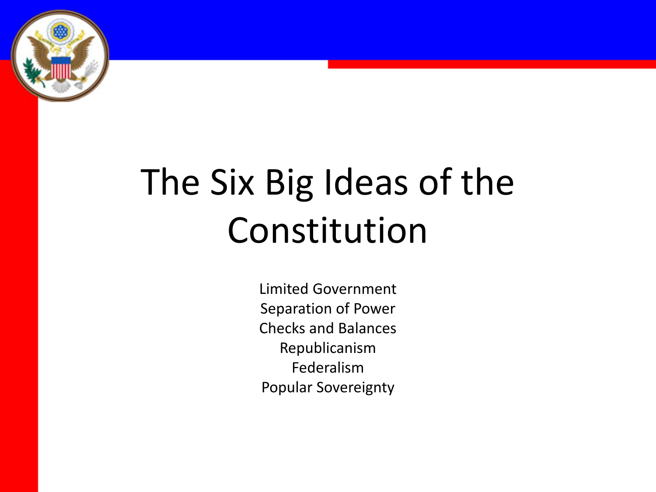

# The Six Big Ideas of the Constitution

Limited Government Separation of Power Checks and Balances Republicanism Federalism Popular Sovereignty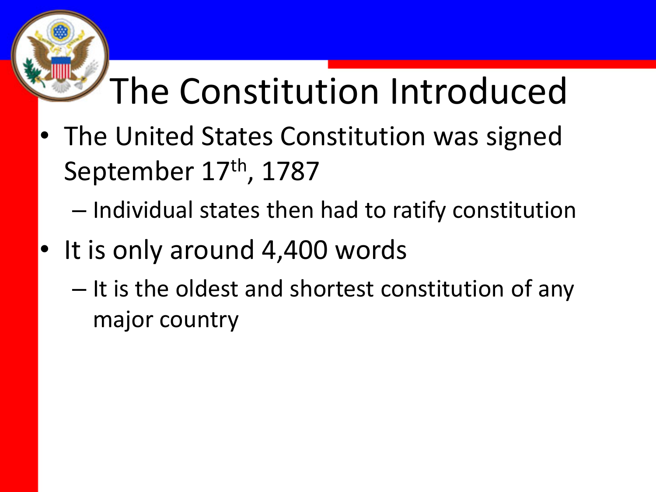### The Constitution Introduced

- The United States Constitution was signed September 17<sup>th</sup>, 1787
	- Individual states then had to ratify constitution
- It is only around 4,400 words
	- It is the oldest and shortest constitution of any major country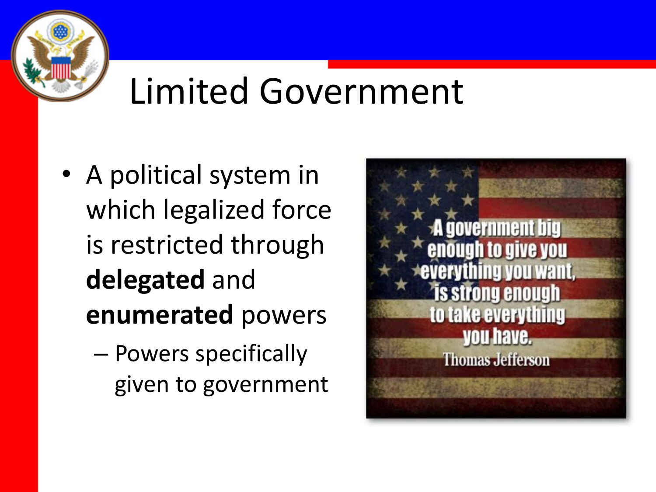

#### Limited Government

- A political system in which legalized force is restricted through **delegated** and **enumerated** powers
	- Powers specifically given to government

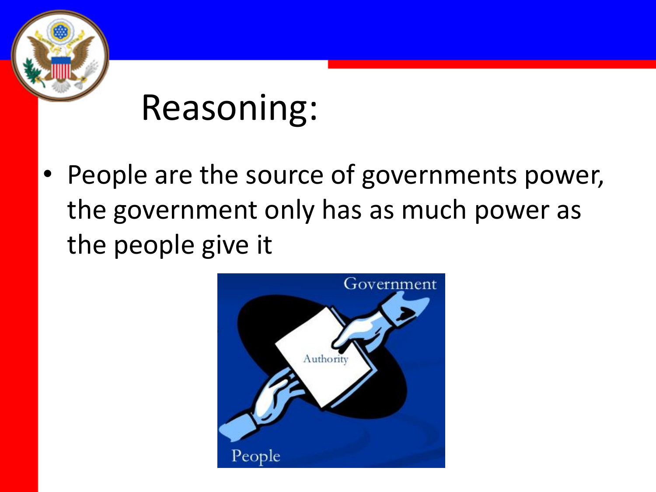

• People are the source of governments power, the government only has as much power as the people give it

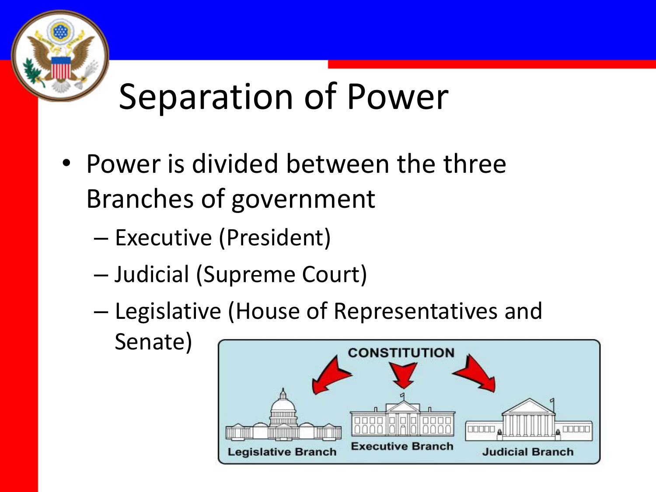

### Separation of Power

- Power is divided between the three Branches of government
	- Executive (President)
	- Judicial (Supreme Court)
	- Legislative (House of Representatives and Senate)

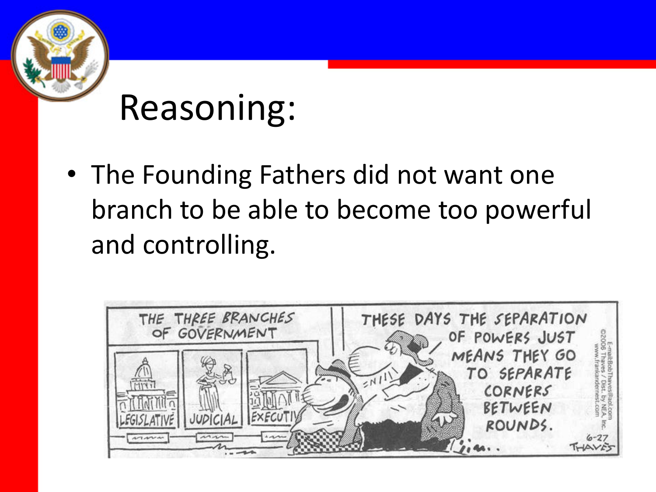

• The Founding Fathers did not want one branch to be able to become too powerful and controlling.

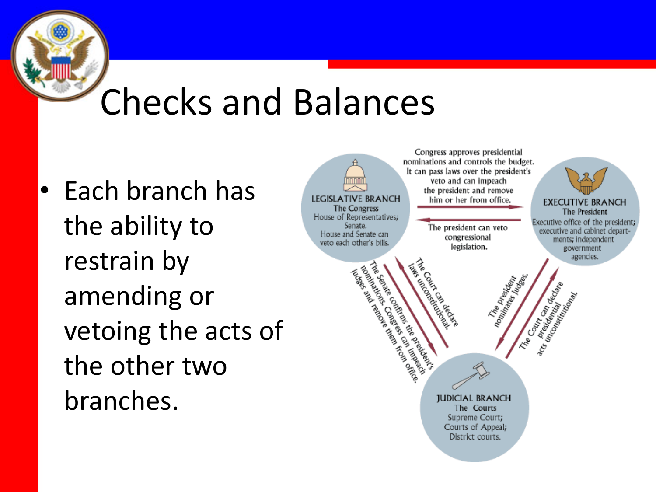#### Checks and Balances

• Each branch has the ability to restrain by amending or vetoing the acts of the other two branches.

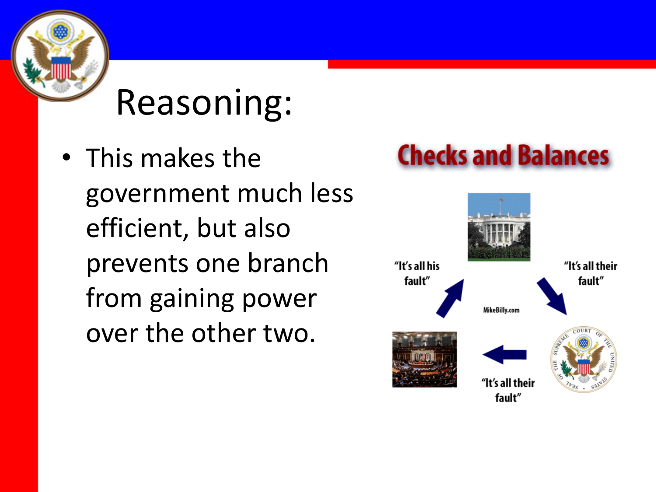• This makes the government much less efficient, but also prevents one branch from gaining power over the other two.

#### **Checks and Balances**

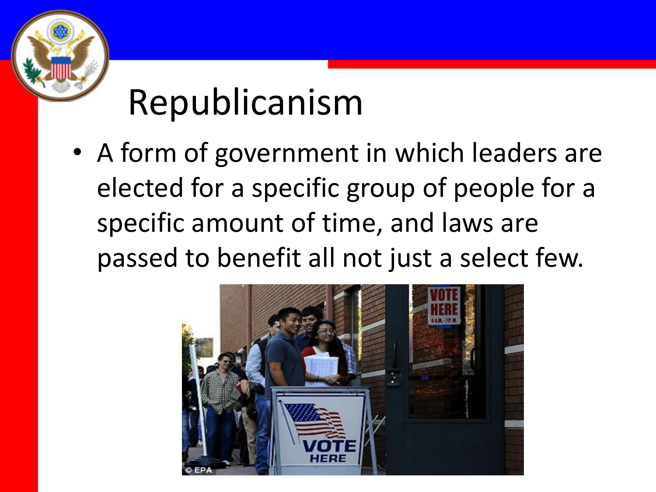

## Republicanism

• A form of government in which leaders are elected for a specific group of people for a specific amount of time, and laws are passed to benefit all not just a select few.

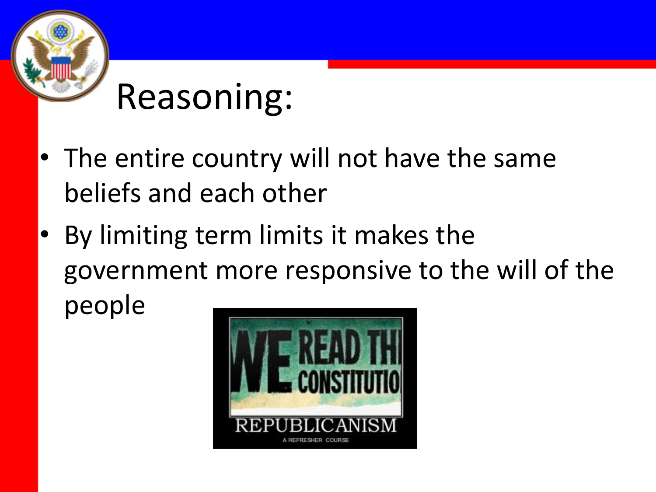

- The entire country will not have the same beliefs and each other
- By limiting term limits it makes the government more responsive to the will of the people

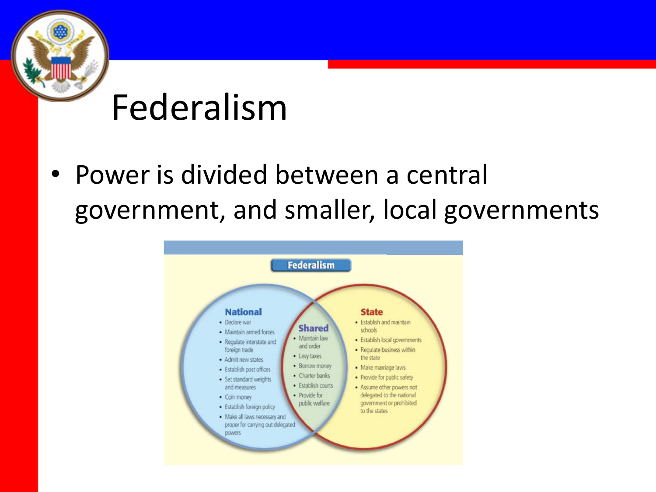#### Federalism

• Power is divided between a central government, and smaller, local governments

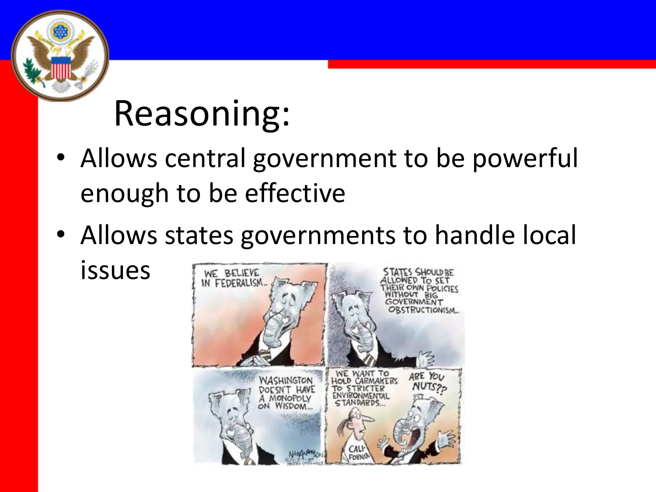- Allows central government to be powerful enough to be effective
- Allows states governments to handle local issues

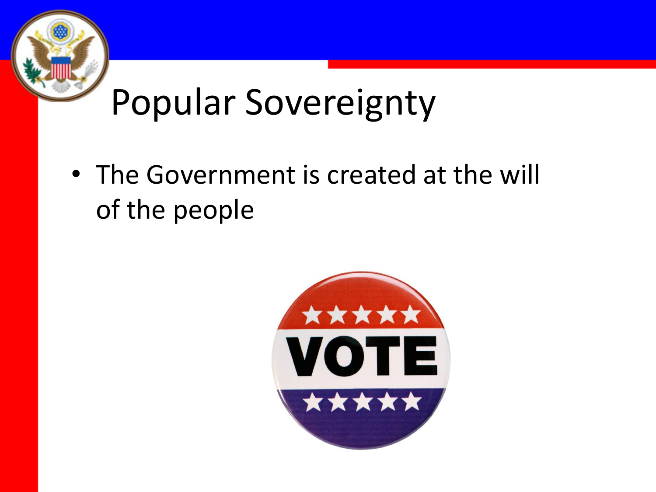## Popular Sovereignty

• The Government is created at the will of the people